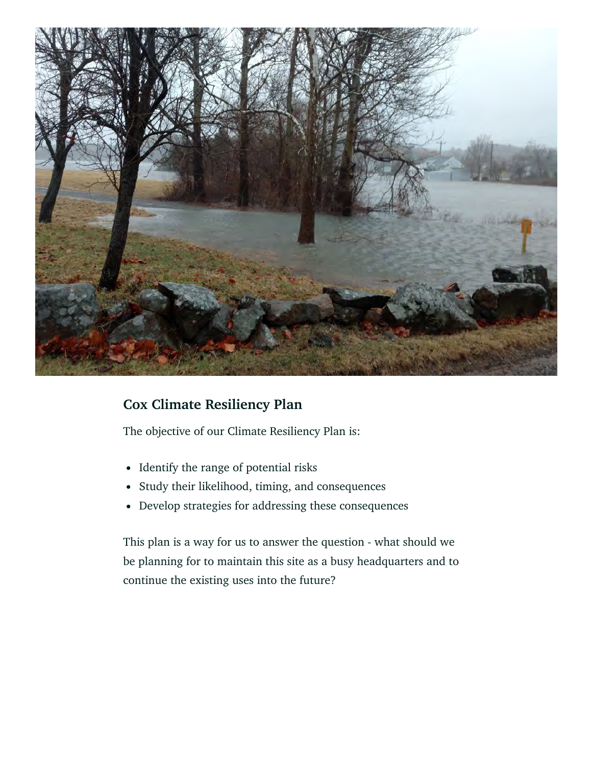

## **Cox Climate Resiliency Plan**

The objective of our Climate Resiliency Plan is:

- Identify the range of potential risks
- Study their likelihood, timing, and consequences
- Develop strategies for addressing these consequences

This plan is a way for us to answer the question - what should we be planning for to maintain this site as a busy headquarters and to continue the existing uses into the future?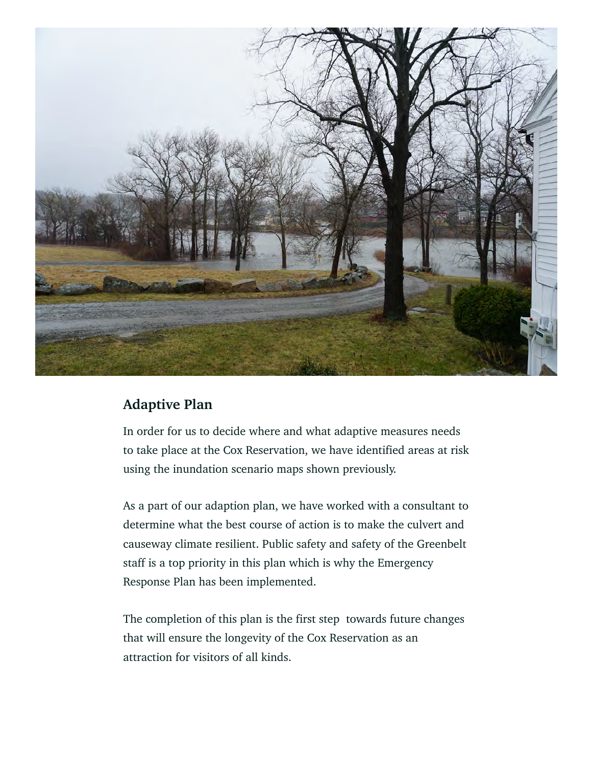

## **Adaptive Plan**

In order for us to decide where and what adaptive measures needs to take place at the Cox Reservation, we have identified areas at risk using the inundation scenario maps shown previously.

As a part of our adaption plan, we have worked with a consultant to determine what the best course of action is to make the culvert and causeway climate resilient. Public safety and safety of the Greenbelt staff is a top priority in this plan which is why the Emergency Response Plan has been implemented.

The completion of this plan is the first step towards future changes that will ensure the longevity of the Cox Reservation as an attraction for visitors of all kinds.